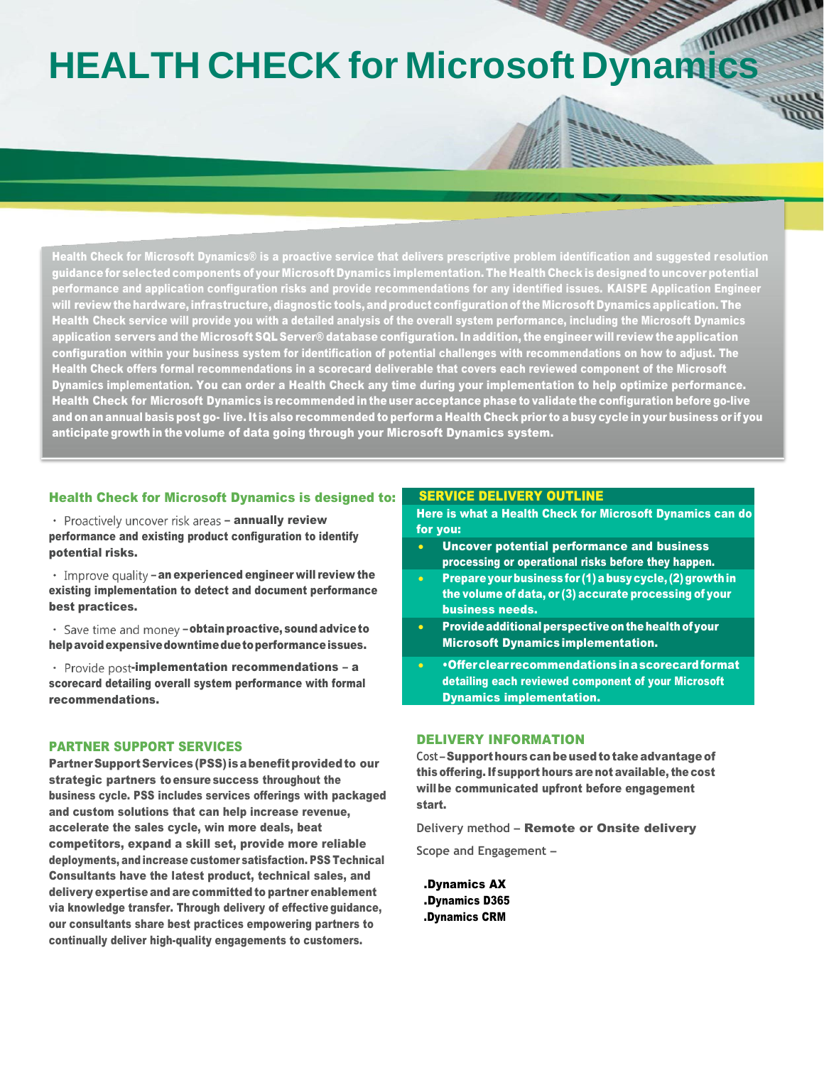# **HEALTH CHECK for Microsoft Dynamics**

Health Check for Microsoft Dynamics® is a proactive service that delivers prescriptive problem identification and suggested resolution guidance for selected components of your Microsoft Dynamics implementation. The Health Check is designed to uncover potential performance and application configuration risks and provide recommendations for any identified issues. KAISPE Application Engineer view the hardware, infrastructure, diagnostic tools, and product configuration of the Microsoft Dynamics application. The  $\,$ Health Check service will provide you with a detailed analysis of the overall system performance, including the Microsoft Dynamics application servers and the Microsoft SQL Server® database configuration. In addition, the engineer will review the application configuration within your business system for identification of potential challenges with recommendations on how to adjust. The Health Check offers formal recommendations in a scorecard deliverable that covers each reviewed component of the Microsoft Dynamics implementation. You can order a Health Check any time during your implementation to help optimize performance. Health Check for Microsoft Dynamics is recommended in the user acceptance phase to validate the configuration before go-live and on an annual basis post go- live.It is also recommended to perform a Health Check prior to a busy cycle in your business or if you anticipate growth in the volume of data going through your Microsoft Dynamics system.

### Health Check for Microsoft Dynamics is designed to:

• Proactively uncover risk areas - annually review performance and existing product configuration to identify potential risks.

 $\cdot$  Improve quality – an experienced engineer will review the existing implementation to detect and document performance best practices.

• Save time and money - obtain proactive, sound advice to helpavoidexpensivedowntimeduetoperformanceissues.

• Provide post-implementation recommendations - a scorecard detailing overall system performance with formal recommendations.

# PARTNER SUPPORT SERVICES

Partner Support Services (PSS) is a benefit provided to our strategic partners to ensure success throughout the business cycle. PSS includes services offerings with packaged and custom solutions that can help increase revenue, accelerate the sales cycle, win more deals, beat competitors, expand a skill set, provide more reliable deployments, and increase customer satisfaction. PSS Technical Consultants have the latest product, technical sales, and delivery expertise and are committed to partner enablement via knowledge transfer. Through delivery of effective guidance, our consultants share best practices empowering partners to continually deliver high-quality engagements to customers.

# SERVICE DELIVERY OUTLINE

Here is what a Health Check for Microsoft Dynamics can do for you:

- Uncover potential performance and business processing or operational risks before they happen.
- Prepare your business for (1) a busy cycle, (2) growth in the volume of data, or (3) accurate processing of your business needs.
- Provide additional perspective on the health of your Microsoft Dynamicsimplementation.
- •Offerclear recommendationsinascorecardformat detailing each reviewed component of your Microsoft Dynamics implementation.

# DELIVERY INFORMATION

Cost-Supporthours can be used to take advantage of this offering.If support hours are not available, the cost willbe communicated upfront before engagement start.

**Delivery method** – Remote or Onsite delivery

**Scope and Engagement** –

.Dynamics AX .Dynamics D365 .Dynamics CRM